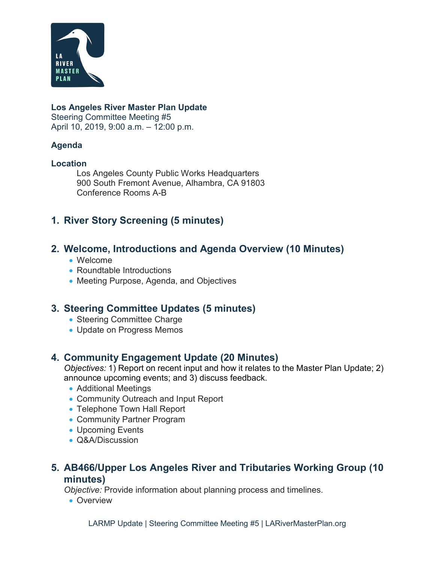

#### **Los Angeles River Master Plan Update**

Steering Committee Meeting #5 April 10, 2019, 9:00 a.m. – 12:00 p.m.

#### **Agenda**

#### **Location**

Los Angeles County Public Works Headquarters 900 South Fremont Avenue, Alhambra, CA 91803 Conference Rooms A-B

# **1. River Story Screening (5 minutes)**

## **2. Welcome, Introductions and Agenda Overview (10 Minutes)**

- Welcome
- Roundtable Introductions
- Meeting Purpose, Agenda, and Objectives

# **3. Steering Committee Updates (5 minutes)**

- Steering Committee Charge
- Update on Progress Memos

# **4. Community Engagement Update (20 Minutes)**

*Objectives:* 1) Report on recent input and how it relates to the Master Plan Update; 2) announce upcoming events; and 3) discuss feedback.

- Additional Meetings
- Community Outreach and Input Report
- Telephone Town Hall Report
- Community Partner Program
- Upcoming Events
- Q&A/Discussion

## **5. AB466/Upper Los Angeles River and Tributaries Working Group (10 minutes)**

*Objective:* Provide information about planning process and timelines.

• Overview

LARMP Update | Steering Committee Meeting #5 | LARiverMasterPlan.org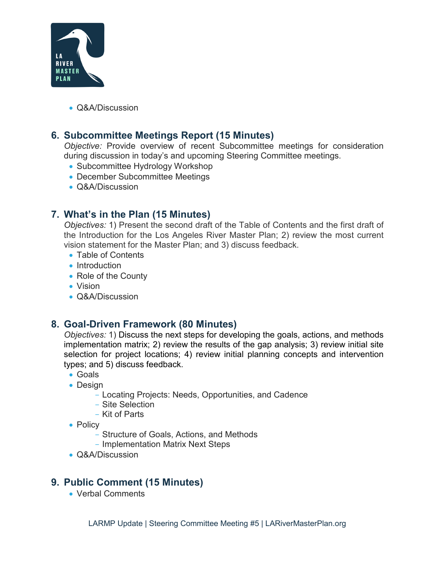

• Q&A/Discussion

# **6. Subcommittee Meetings Report (15 Minutes)**

*Objective:* Provide overview of recent Subcommittee meetings for consideration during discussion in today's and upcoming Steering Committee meetings.

- Subcommittee Hydrology Workshop
- December Subcommittee Meetings
- Q&A/Discussion

# **7. What's in the Plan (15 Minutes)**

*Objectives:* 1) Present the second draft of the Table of Contents and the first draft of the Introduction for the Los Angeles River Master Plan; 2) review the most current vision statement for the Master Plan; and 3) discuss feedback.

- Table of Contents
- Introduction
- Role of the County
- Vision
- Q&A/Discussion

# **8. Goal-Driven Framework (80 Minutes)**

*Objectives:* 1) Discuss the next steps for developing the goals, actions, and methods implementation matrix; 2) review the results of the gap analysis; 3) review initial site selection for project locations; 4) review initial planning concepts and intervention types; and 5) discuss feedback.

- Goals
- Design
	- Locating Projects: Needs, Opportunities, and Cadence
	- Site Selection
	- Kit of Parts
- Policy
	- Structure of Goals, Actions, and Methods
	- Implementation Matrix Next Steps
- Q&A/Discussion

# **9. Public Comment (15 Minutes)**

• Verbal Comments